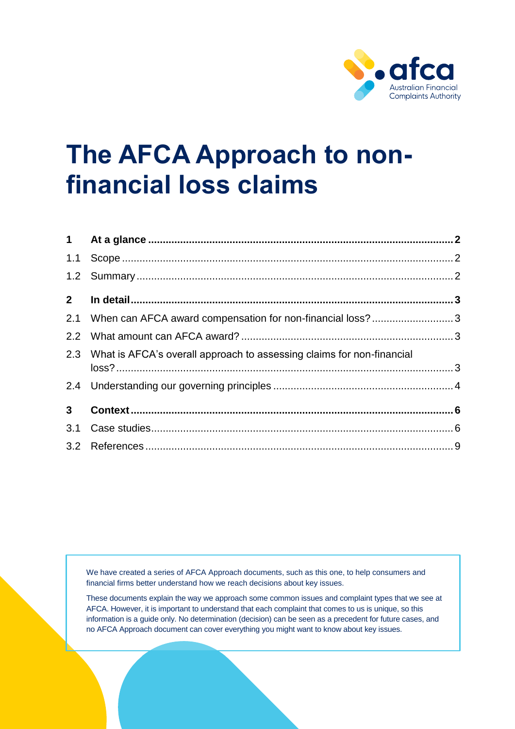

# **The AFCA Approach to nonfinancial loss claims**

| $2^{\circ}$    |                                                                           |  |
|----------------|---------------------------------------------------------------------------|--|
|                | 2.1 When can AFCA award compensation for non-financial loss?3             |  |
|                |                                                                           |  |
|                | 2.3 What is AFCA's overall approach to assessing claims for non-financial |  |
|                |                                                                           |  |
| 3 <sup>7</sup> |                                                                           |  |
|                |                                                                           |  |
|                |                                                                           |  |

We have created a series of AFCA Approach documents, such as this one, to help consumers and financial firms better understand how we reach decisions about key issues.

These documents explain the way we approach some common issues and complaint types that we see at AFCA. However, it is important to understand that each complaint that comes to us is unique, so this information is a guide only. No determination (decision) can be seen as a precedent for future cases, and no AFCA Approach document can cover everything you might want to know about key issues.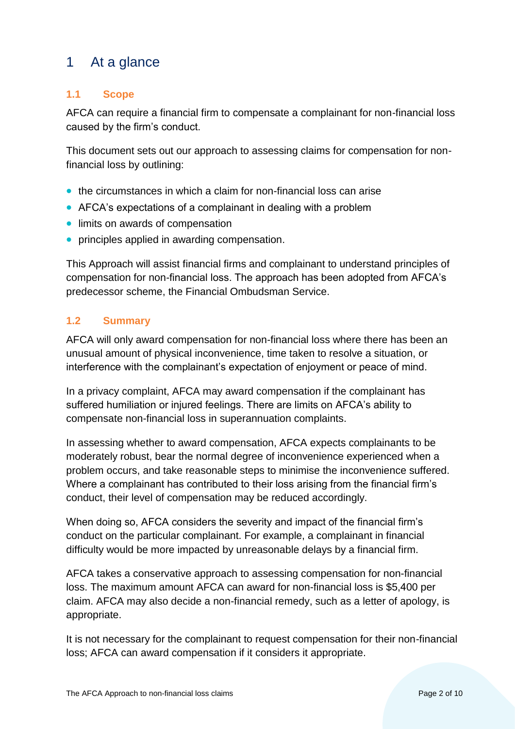# <span id="page-1-0"></span>1 At a glance

# <span id="page-1-1"></span>**1.1 Scope**

AFCA can require a financial firm to compensate a complainant for non-financial loss caused by the firm's conduct.

This document sets out our approach to assessing claims for compensation for nonfinancial loss by outlining:

- the circumstances in which a claim for non-financial loss can arise
- AFCA's expectations of a complainant in dealing with a problem
- limits on awards of compensation
- principles applied in awarding compensation.

This Approach will assist financial firms and complainant to understand principles of compensation for non-financial loss. The approach has been adopted from AFCA's predecessor scheme, the Financial Ombudsman Service.

### <span id="page-1-2"></span>**1.2 Summary**

AFCA will only award compensation for non-financial loss where there has been an unusual amount of physical inconvenience, time taken to resolve a situation, or interference with the complainant's expectation of enjoyment or peace of mind.

In a privacy complaint, AFCA may award compensation if the complainant has suffered humiliation or injured feelings. There are limits on AFCA's ability to compensate non-financial loss in superannuation complaints.

In assessing whether to award compensation, AFCA expects complainants to be moderately robust, bear the normal degree of inconvenience experienced when a problem occurs, and take reasonable steps to minimise the inconvenience suffered. Where a complainant has contributed to their loss arising from the financial firm's conduct, their level of compensation may be reduced accordingly.

When doing so, AFCA considers the severity and impact of the financial firm's conduct on the particular complainant. For example, a complainant in financial difficulty would be more impacted by unreasonable delays by a financial firm.

AFCA takes a conservative approach to assessing compensation for non-financial loss. The maximum amount AFCA can award for non-financial loss is \$5,400 per claim. AFCA may also decide a non-financial remedy, such as a letter of apology, is appropriate.

It is not necessary for the complainant to request compensation for their non-financial loss; AFCA can award compensation if it considers it appropriate.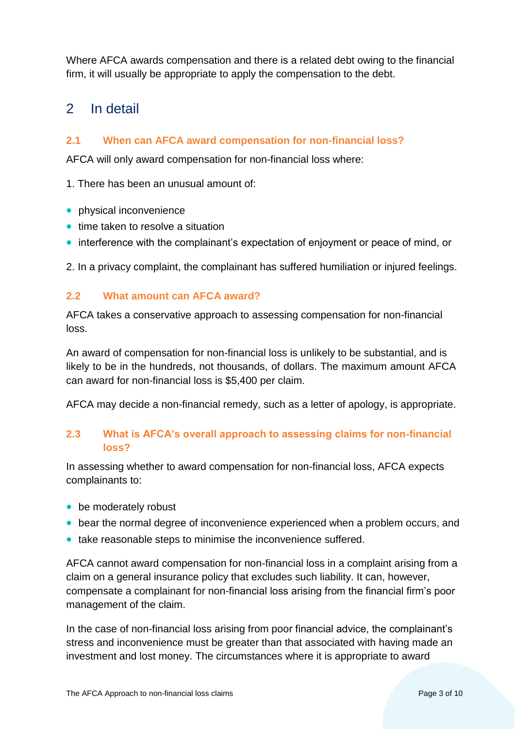Where AFCA awards compensation and there is a related debt owing to the financial firm, it will usually be appropriate to apply the compensation to the debt.

# <span id="page-2-0"></span>2 In detail

### <span id="page-2-1"></span>**2.1 When can AFCA award compensation for non-financial loss?**

AFCA will only award compensation for non-financial loss where:

1. There has been an unusual amount of:

- physical inconvenience
- time taken to resolve a situation
- interference with the complainant's expectation of enjoyment or peace of mind, or

2. In a privacy complaint, the complainant has suffered humiliation or injured feelings.

### <span id="page-2-2"></span>**2.2 What amount can AFCA award?**

AFCA takes a conservative approach to assessing compensation for non-financial loss.

An award of compensation for non-financial loss is unlikely to be substantial, and is likely to be in the hundreds, not thousands, of dollars. The maximum amount AFCA can award for non-financial loss is \$5,400 per claim.

AFCA may decide a non-financial remedy, such as a letter of apology, is appropriate.

### <span id="page-2-3"></span>**2.3 What is AFCA's overall approach to assessing claims for non-financial loss?**

In assessing whether to award compensation for non-financial loss, AFCA expects complainants to:

- be moderately robust
- bear the normal degree of inconvenience experienced when a problem occurs, and
- take reasonable steps to minimise the inconvenience suffered.

AFCA cannot award compensation for non-financial loss in a complaint arising from a claim on a general insurance policy that excludes such liability. It can, however, compensate a complainant for non-financial loss arising from the financial firm's poor management of the claim.

In the case of non-financial loss arising from poor financial advice, the complainant's stress and inconvenience must be greater than that associated with having made an investment and lost money. The circumstances where it is appropriate to award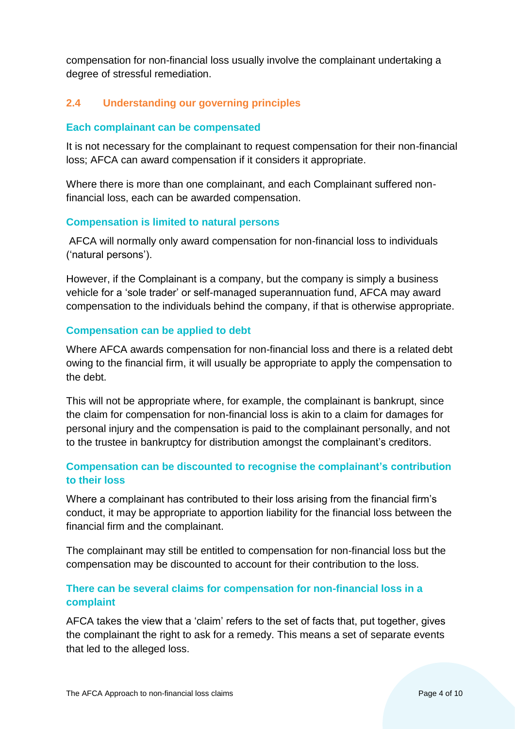compensation for non-financial loss usually involve the complainant undertaking a degree of stressful remediation.

# <span id="page-3-0"></span>**2.4 Understanding our governing principles**

### **Each complainant can be compensated**

It is not necessary for the complainant to request compensation for their non-financial loss; AFCA can award compensation if it considers it appropriate.

Where there is more than one complainant, and each Complainant suffered nonfinancial loss, each can be awarded compensation.

### **Compensation is limited to natural persons**

AFCA will normally only award compensation for non-financial loss to individuals ('natural persons').

However, if the Complainant is a company, but the company is simply a business vehicle for a 'sole trader' or self-managed superannuation fund, AFCA may award compensation to the individuals behind the company, if that is otherwise appropriate.

### **Compensation can be applied to debt**

Where AFCA awards compensation for non-financial loss and there is a related debt owing to the financial firm, it will usually be appropriate to apply the compensation to the debt.

This will not be appropriate where, for example, the complainant is bankrupt, since the claim for compensation for non-financial loss is akin to a claim for damages for personal injury and the compensation is paid to the complainant personally, and not to the trustee in bankruptcy for distribution amongst the complainant's creditors.

### **Compensation can be discounted to recognise the complainant's contribution to their loss**

Where a complainant has contributed to their loss arising from the financial firm's conduct, it may be appropriate to apportion liability for the financial loss between the financial firm and the complainant.

The complainant may still be entitled to compensation for non-financial loss but the compensation may be discounted to account for their contribution to the loss.

# **There can be several claims for compensation for non-financial loss in a complaint**

AFCA takes the view that a 'claim' refers to the set of facts that, put together, gives the complainant the right to ask for a remedy. This means a set of separate events that led to the alleged loss.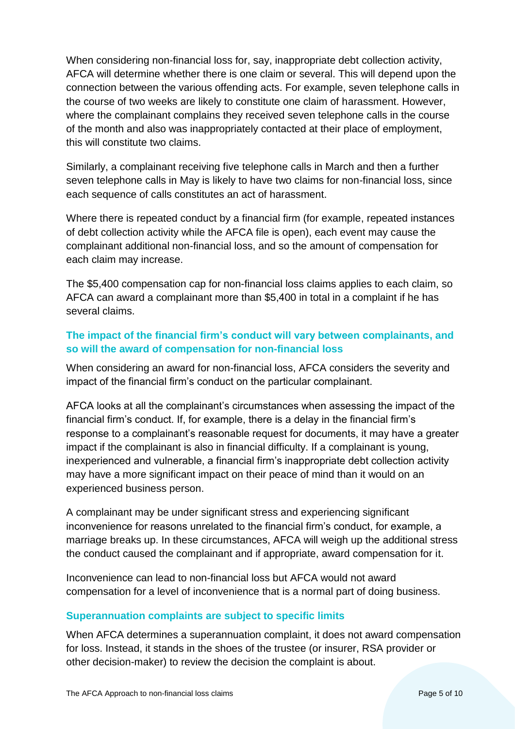When considering non-financial loss for, say, inappropriate debt collection activity, AFCA will determine whether there is one claim or several. This will depend upon the connection between the various offending acts. For example, seven telephone calls in the course of two weeks are likely to constitute one claim of harassment. However, where the complainant complains they received seven telephone calls in the course of the month and also was inappropriately contacted at their place of employment, this will constitute two claims.

Similarly, a complainant receiving five telephone calls in March and then a further seven telephone calls in May is likely to have two claims for non-financial loss, since each sequence of calls constitutes an act of harassment.

Where there is repeated conduct by a financial firm (for example, repeated instances of debt collection activity while the AFCA file is open), each event may cause the complainant additional non-financial loss, and so the amount of compensation for each claim may increase.

The \$5,400 compensation cap for non-financial loss claims applies to each claim, so AFCA can award a complainant more than \$5,400 in total in a complaint if he has several claims.

# **The impact of the financial firm's conduct will vary between complainants, and so will the award of compensation for non-financial loss**

When considering an award for non-financial loss, AFCA considers the severity and impact of the financial firm's conduct on the particular complainant.

AFCA looks at all the complainant's circumstances when assessing the impact of the financial firm's conduct. If, for example, there is a delay in the financial firm's response to a complainant's reasonable request for documents, it may have a greater impact if the complainant is also in financial difficulty. If a complainant is young, inexperienced and vulnerable, a financial firm's inappropriate debt collection activity may have a more significant impact on their peace of mind than it would on an experienced business person.

A complainant may be under significant stress and experiencing significant inconvenience for reasons unrelated to the financial firm's conduct, for example, a marriage breaks up. In these circumstances, AFCA will weigh up the additional stress the conduct caused the complainant and if appropriate, award compensation for it.

Inconvenience can lead to non-financial loss but AFCA would not award compensation for a level of inconvenience that is a normal part of doing business.

### **Superannuation complaints are subject to specific limits**

When AFCA determines a superannuation complaint, it does not award compensation for loss. Instead, it stands in the shoes of the trustee (or insurer, RSA provider or other decision-maker) to review the decision the complaint is about.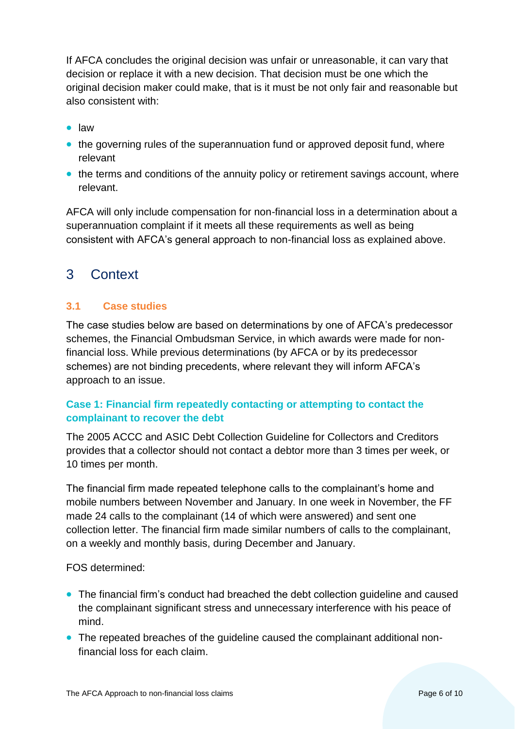If AFCA concludes the original decision was unfair or unreasonable, it can vary that decision or replace it with a new decision. That decision must be one which the original decision maker could make, that is it must be not only fair and reasonable but also consistent with:

- law
- the governing rules of the superannuation fund or approved deposit fund, where relevant
- the terms and conditions of the annuity policy or retirement savings account, where relevant.

AFCA will only include compensation for non-financial loss in a determination about a superannuation complaint if it meets all these requirements as well as being consistent with AFCA's general approach to non-financial loss as explained above.

# <span id="page-5-0"></span>3 Context

# <span id="page-5-1"></span>**3.1 Case studies**

The case studies below are based on determinations by one of AFCA's predecessor schemes, the Financial Ombudsman Service, in which awards were made for nonfinancial loss. While previous determinations (by AFCA or by its predecessor schemes) are not binding precedents, where relevant they will inform AFCA's approach to an issue.

# **Case 1: Financial firm repeatedly contacting or attempting to contact the complainant to recover the debt**

The 2005 ACCC and ASIC Debt Collection Guideline for Collectors and Creditors provides that a collector should not contact a debtor more than 3 times per week, or 10 times per month.

The financial firm made repeated telephone calls to the complainant's home and mobile numbers between November and January. In one week in November, the FF made 24 calls to the complainant (14 of which were answered) and sent one collection letter. The financial firm made similar numbers of calls to the complainant, on a weekly and monthly basis, during December and January.

FOS determined:

- The financial firm's conduct had breached the debt collection guideline and caused the complainant significant stress and unnecessary interference with his peace of mind.
- The repeated breaches of the guideline caused the complainant additional nonfinancial loss for each claim.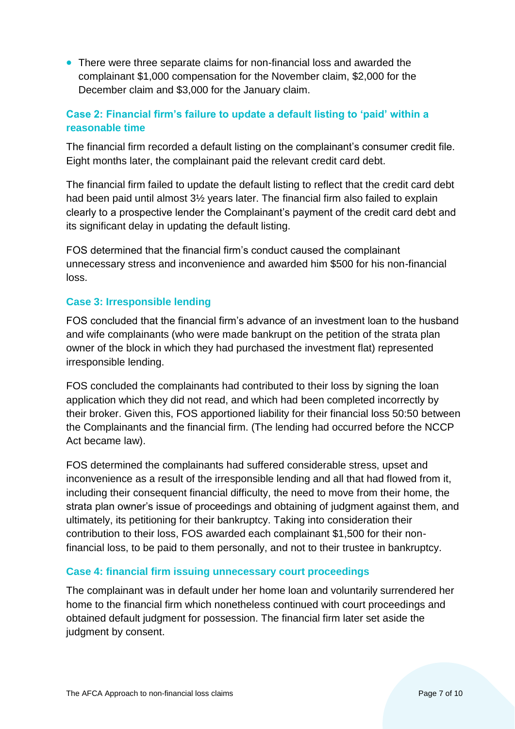• There were three separate claims for non-financial loss and awarded the complainant \$1,000 compensation for the November claim, \$2,000 for the December claim and \$3,000 for the January claim.

# **Case 2: Financial firm's failure to update a default listing to 'paid' within a reasonable time**

The financial firm recorded a default listing on the complainant's consumer credit file. Eight months later, the complainant paid the relevant credit card debt.

The financial firm failed to update the default listing to reflect that the credit card debt had been paid until almost 3½ years later. The financial firm also failed to explain clearly to a prospective lender the Complainant's payment of the credit card debt and its significant delay in updating the default listing.

FOS determined that the financial firm's conduct caused the complainant unnecessary stress and inconvenience and awarded him \$500 for his non-financial loss.

### **Case 3: Irresponsible lending**

FOS concluded that the financial firm's advance of an investment loan to the husband and wife complainants (who were made bankrupt on the petition of the strata plan owner of the block in which they had purchased the investment flat) represented irresponsible lending.

FOS concluded the complainants had contributed to their loss by signing the loan application which they did not read, and which had been completed incorrectly by their broker. Given this, FOS apportioned liability for their financial loss 50:50 between the Complainants and the financial firm. (The lending had occurred before the NCCP Act became law).

FOS determined the complainants had suffered considerable stress, upset and inconvenience as a result of the irresponsible lending and all that had flowed from it, including their consequent financial difficulty, the need to move from their home, the strata plan owner's issue of proceedings and obtaining of judgment against them, and ultimately, its petitioning for their bankruptcy. Taking into consideration their contribution to their loss, FOS awarded each complainant \$1,500 for their nonfinancial loss, to be paid to them personally, and not to their trustee in bankruptcy.

### **Case 4: financial firm issuing unnecessary court proceedings**

The complainant was in default under her home loan and voluntarily surrendered her home to the financial firm which nonetheless continued with court proceedings and obtained default judgment for possession. The financial firm later set aside the judgment by consent.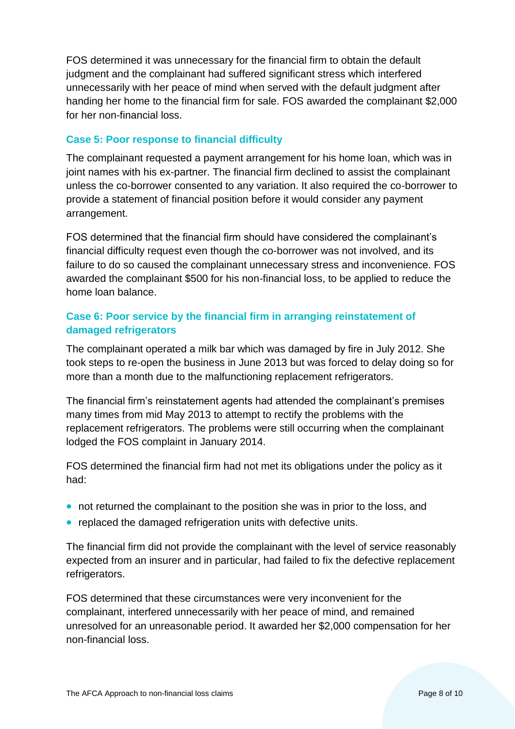FOS determined it was unnecessary for the financial firm to obtain the default judgment and the complainant had suffered significant stress which interfered unnecessarily with her peace of mind when served with the default judgment after handing her home to the financial firm for sale. FOS awarded the complainant \$2,000 for her non-financial loss.

# **Case 5: Poor response to financial difficulty**

The complainant requested a payment arrangement for his home loan, which was in joint names with his ex-partner. The financial firm declined to assist the complainant unless the co-borrower consented to any variation. It also required the co-borrower to provide a statement of financial position before it would consider any payment arrangement.

FOS determined that the financial firm should have considered the complainant's financial difficulty request even though the co-borrower was not involved, and its failure to do so caused the complainant unnecessary stress and inconvenience. FOS awarded the complainant \$500 for his non-financial loss, to be applied to reduce the home loan balance.

# **Case 6: Poor service by the financial firm in arranging reinstatement of damaged refrigerators**

The complainant operated a milk bar which was damaged by fire in July 2012. She took steps to re-open the business in June 2013 but was forced to delay doing so for more than a month due to the malfunctioning replacement refrigerators.

The financial firm's reinstatement agents had attended the complainant's premises many times from mid May 2013 to attempt to rectify the problems with the replacement refrigerators. The problems were still occurring when the complainant lodged the FOS complaint in January 2014.

FOS determined the financial firm had not met its obligations under the policy as it had:

- not returned the complainant to the position she was in prior to the loss, and
- replaced the damaged refrigeration units with defective units.

The financial firm did not provide the complainant with the level of service reasonably expected from an insurer and in particular, had failed to fix the defective replacement refrigerators.

FOS determined that these circumstances were very inconvenient for the complainant, interfered unnecessarily with her peace of mind, and remained unresolved for an unreasonable period. It awarded her \$2,000 compensation for her non-financial loss.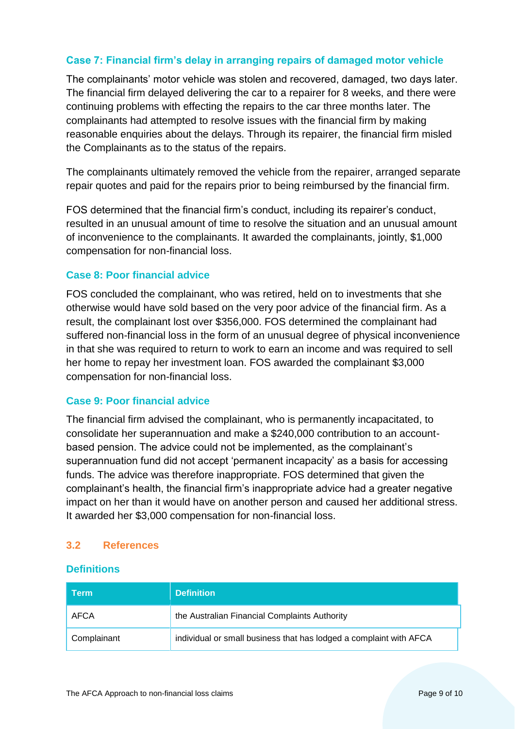### **Case 7: Financial firm's delay in arranging repairs of damaged motor vehicle**

The complainants' motor vehicle was stolen and recovered, damaged, two days later. The financial firm delayed delivering the car to a repairer for 8 weeks, and there were continuing problems with effecting the repairs to the car three months later. The complainants had attempted to resolve issues with the financial firm by making reasonable enquiries about the delays. Through its repairer, the financial firm misled the Complainants as to the status of the repairs.

The complainants ultimately removed the vehicle from the repairer, arranged separate repair quotes and paid for the repairs prior to being reimbursed by the financial firm.

FOS determined that the financial firm's conduct, including its repairer's conduct, resulted in an unusual amount of time to resolve the situation and an unusual amount of inconvenience to the complainants. It awarded the complainants, jointly, \$1,000 compensation for non-financial loss.

### **Case 8: Poor financial advice**

FOS concluded the complainant, who was retired, held on to investments that she otherwise would have sold based on the very poor advice of the financial firm. As a result, the complainant lost over \$356,000. FOS determined the complainant had suffered non-financial loss in the form of an unusual degree of physical inconvenience in that she was required to return to work to earn an income and was required to sell her home to repay her investment loan. FOS awarded the complainant \$3,000 compensation for non-financial loss.

#### **Case 9: Poor financial advice**

The financial firm advised the complainant, who is permanently incapacitated, to consolidate her superannuation and make a \$240,000 contribution to an accountbased pension. The advice could not be implemented, as the complainant's superannuation fund did not accept 'permanent incapacity' as a basis for accessing funds. The advice was therefore inappropriate. FOS determined that given the complainant's health, the financial firm's inappropriate advice had a greater negative impact on her than it would have on another person and caused her additional stress. It awarded her \$3,000 compensation for non-financial loss.

### <span id="page-8-0"></span>**3.2 References**

### **Definitions**

| <b>Term</b> | <b>Definition</b>                                                  |
|-------------|--------------------------------------------------------------------|
| AFCA        | the Australian Financial Complaints Authority                      |
| Complainant | individual or small business that has lodged a complaint with AFCA |